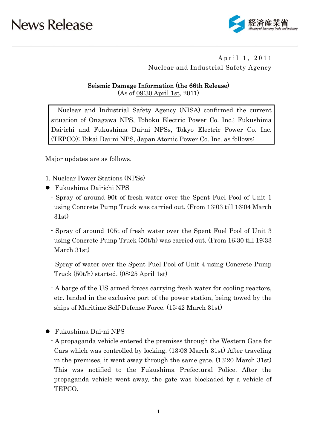

### April 1, 2011 Nuclear and Industrial Safety Agency

### Seismic Damage Information (the 66th Release)

(As of 09:30 April 1st, 2011)

Nuclear and Industrial Safety Agency (NISA) confirmed the current situation of Onagawa NPS, Tohoku Electric Power Co. Inc.; Fukushima Dai-ichi and Fukushima Dai-ni NPSs, Tokyo Electric Power Co. Inc. (TEPCO); Tokai Dai-ni NPS, Japan Atomic Power Co. Inc. as follows:

Major updates are as follows.

- 1. Nuclear Power Stations (NPSs)
- Fukushima Dai-ichi NPS
	- Spray of around 90t of fresh water over the Spent Fuel Pool of Unit 1 using Concrete Pump Truck was carried out. (From 13:03 till 16:04 March 31st)
	- Spray of around 105t of fresh water over the Spent Fuel Pool of Unit 3 using Concrete Pump Truck (50t/h) was carried out. (From 16:30 till 19:33 March 31st)
	- Spray of water over the Spent Fuel Pool of Unit 4 using Concrete Pump Truck (50t/h) started. (08:25 April 1st)
	- A barge of the US armed forces carrying fresh water for cooling reactors, etc. landed in the exclusive port of the power station, being towed by the ships of Maritime Self-Defense Force. (15:42 March 31st)
- Fukushima Dai-ni NPS
	- A propaganda vehicle entered the premises through the Western Gate for Cars which was controlled by locking. (13:08 March 31st) After traveling in the premises, it went away through the same gate. (13:20 March 31st) This was notified to the Fukushima Prefectural Police. After the propaganda vehicle went away, the gate was blockaded by a vehicle of TEPCO.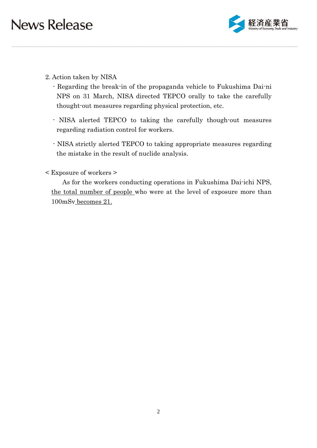

- 2. Action taken by NISA
	- Regarding the break-in of the propaganda vehicle to Fukushima Dai-ni NPS on 31 March, NISA directed TEPCO orally to take the carefully thought-out measures regarding physical protection, etc.
	- NISA alerted TEPCO to taking the carefully though-out measures regarding radiation control for workers.
	- NISA strictly alerted TEPCO to taking appropriate measures regarding the mistake in the result of nuclide analysis.
- < Exposure of workers >

As for the workers conducting operations in Fukushima Dai-ichi NPS, the total number of people who were at the level of exposure more than 100mSv becomes 21.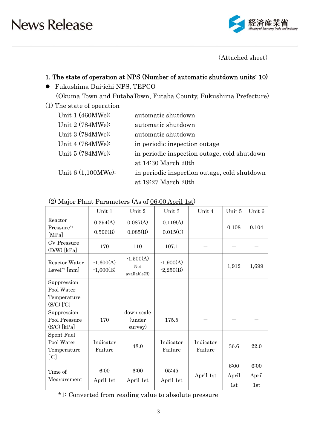

(Attached sheet)

### 1. The state of operation at NPS (Number of automatic shutdown units: 10)

- Fukushima Dai-ichi NPS, TEPCO (Okuma Town and FutabaTown, Futaba County, Fukushima Prefecture)
- (1) The state of operation

| Unit $1(460MWe):$    | automatic shutdown                           |
|----------------------|----------------------------------------------|
| Unit 2 (784MWe):     | automatic shutdown                           |
| Unit 3 (784MWe):     | automatic shutdown                           |
| Unit 4 (784MWe):     | in periodic inspection outage                |
| Unit 5 (784MWe):     | in periodic inspection outage, cold shutdown |
|                      | at 14:30 March 20th                          |
| Unit $6(1,100MWe)$ : | in periodic inspection outage, cold shutdown |
|                      | at 19:27 March 20th                          |

| $(2)$ Major Plant Parameters (As of $06:00$ April 1st) |  |
|--------------------------------------------------------|--|
|--------------------------------------------------------|--|

|                                                            | Unit 1                     | Unit 2                             | Unit 3                     | Unit 4               | Unit 5               | Unit 6               |
|------------------------------------------------------------|----------------------------|------------------------------------|----------------------------|----------------------|----------------------|----------------------|
| Reactor<br>Pressure*1<br>[MPa]                             | 0.394(A)<br>0.596(B)       | 0.087(A)<br>0.085(B)               | 0.119(A)<br>0.015(C)       |                      | 0.108                | 0.104                |
| <b>CV</b> Pressure<br>$(D/W)$ [kPa]                        | 170                        | 110                                | 107.1                      |                      |                      |                      |
| Reactor Water<br>Level <sup>*2</sup> [mm]                  | $-1,600(A)$<br>$-1,600(B)$ | $-1,500(A)$<br>Not<br>available(B) | $-1,900(A)$<br>$-2,250(B)$ |                      | 1,912                | 1,699                |
| Suppression<br>Pool Water<br>Temperature<br>$(S/C)$ $[°C]$ |                            |                                    |                            |                      |                      |                      |
| Suppression<br>Pool Pressure<br>$(S/C)$ [kPa]              | 170                        | down scale<br>(under<br>survey)    | 175.5                      |                      |                      |                      |
| Spent Fuel<br>Pool Water<br>Temperature<br>[°C]            | Indicator<br>Failure       | 48.0                               | Indicator<br>Failure       | Indicator<br>Failure | 36.6                 | 22.0                 |
| Time of<br>Measurement                                     | 6:00<br>April 1st          | 6:00<br>April 1st                  | 05:45<br>April 1st         | April 1st            | 6:00<br>April<br>1st | 6:00<br>April<br>1st |

\*1: Converted from reading value to absolute pressure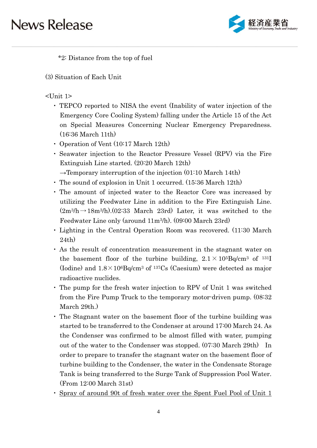

\*2: Distance from the top of fuel

(3) Situation of Each Unit

### <Unit 1>

- ・ TEPCO reported to NISA the event (Inability of water injection of the Emergency Core Cooling System) falling under the Article 15 of the Act on Special Measures Concerning Nuclear Emergency Preparedness. (16:36 March 11th)
- ・ Operation of Vent (10:17 March 12th)
- ・ Seawater injection to the Reactor Pressure Vessel (RPV) via the Fire Extinguish Line started. (20:20 March 12th)
	- $\rightarrow$ Temporary interruption of the injection (01:10 March 14th)
- ・ The sound of explosion in Unit 1 occurred. (15:36 March 12th)
- ・ The amount of injected water to the Reactor Core was increased by utilizing the Feedwater Line in addition to the Fire Extinguish Line.  $(2m^3/h \rightarrow 18m^3/h)$ . (02:33 March 23rd) Later, it was switched to the Feedwater Line only (around 11m3/h). (09:00 March 23rd)
- ・ Lighting in the Central Operation Room was recovered. (11:30 March 24th)
- ・ As the result of concentration measurement in the stagnant water on the basement floor of the turbine building,  $2.1 \times 10^{5}$ Bq/cm<sup>3</sup> of <sup>131</sup>I (Iodine) and  $1.8 \times 10^6$ Bq/cm<sup>3</sup> of <sup>137</sup>Cs (Caesium) were detected as major radioactive nuclides.
- ・ The pump for the fresh water injection to RPV of Unit 1 was switched from the Fire Pump Truck to the temporary motor-driven pump. (08:32 March 29th.)
- ・ The Stagnant water on the basement floor of the turbine building was started to be transferred to the Condenser at around 17:00 March 24. As the Condenser was confirmed to be almost filled with water, pumping out of the water to the Condenser was stopped. (07:30 March 29th) In order to prepare to transfer the stagnant water on the basement floor of turbine building to the Condenser, the water in the Condensate Storage Tank is being transferred to the Surge Tank of Suppression Pool Water. (From 12:00 March 31st)
- ・ Spray of around 90t of fresh water over the Spent Fuel Pool of Unit 1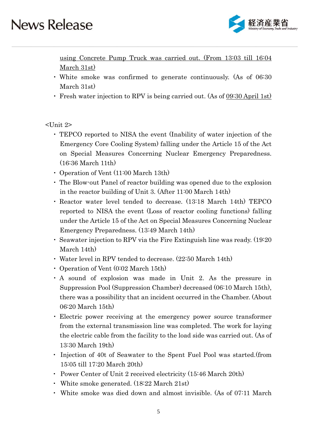

using Concrete Pump Truck was carried out. (From 13:03 till 16:04 March 31st)

- ・ White smoke was confirmed to generate continuously. (As of 06:30 March 31st)
- ・ Fresh water injection to RPV is being carried out. (As of 09:30 April 1st)

<Unit 2>

- ・ TEPCO reported to NISA the event (Inability of water injection of the Emergency Core Cooling System) falling under the Article 15 of the Act on Special Measures Concerning Nuclear Emergency Preparedness. (16:36 March 11th)
- ・ Operation of Vent (11:00 March 13th)
- ・ The Blow-out Panel of reactor building was opened due to the explosion in the reactor building of Unit 3. (After 11:00 March 14th)
- ・ Reactor water level tended to decrease. (13:18 March 14th) TEPCO reported to NISA the event (Loss of reactor cooling functions) falling under the Article 15 of the Act on Special Measures Concerning Nuclear Emergency Preparedness. (13:49 March 14th)
- ・ Seawater injection to RPV via the Fire Extinguish line was ready. (19:20 March 14th)
- ・ Water level in RPV tended to decrease. (22:50 March 14th)
- ・ Operation of Vent (0:02 March 15th)
- ・ A sound of explosion was made in Unit 2. As the pressure in Suppression Pool (Suppression Chamber) decreased (06:10 March 15th), there was a possibility that an incident occurred in the Chamber. (About 06:20 March 15th)
- ・ Electric power receiving at the emergency power source transformer from the external transmission line was completed. The work for laying the electric cable from the facility to the load side was carried out. (As of 13:30 March 19th)
- ・ Injection of 40t of Seawater to the Spent Fuel Pool was started.(from 15:05 till 17:20 March 20th)
- ・ Power Center of Unit 2 received electricity (15:46 March 20th)
- ・ White smoke generated. (18:22 March 21st)
- ・ White smoke was died down and almost invisible. (As of 07:11 March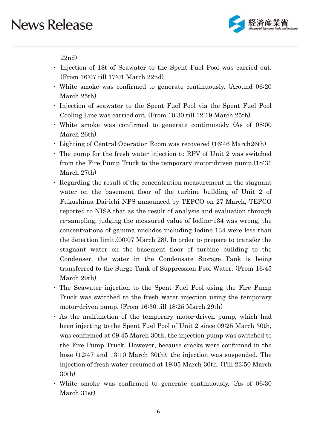

22nd)

- ・ Injection of 18t of Seawater to the Spent Fuel Pool was carried out. (From 16:07 till 17:01 March 22nd)
- ・ White smoke was confirmed to generate continuously. (Around 06:20 March 25th)
- ・ Injection of seawater to the Spent Fuel Pool via the Spent Fuel Pool Cooling Line was carried out. (From 10:30 till 12:19 March 25th)
- ・ White smoke was confirmed to generate continuously (As of 08:00 March 26th)
- ・ Lighting of Central Operation Room was recovered (16:46 March26th)
- ・ The pump for the fresh water injection to RPV of Unit 2 was switched from the Fire Pump Truck to the temporary motor-driven pump.(18:31 March 27th)
- ・ Regarding the result of the concentration measurement in the stagnant water on the basement floor of the turbine building of Unit 2 of Fukushima Dai-ichi NPS announced by TEPCO on 27 March, TEPCO reported to NISA that as the result of analysis and evaluation through re-sampling, judging the measured value of Iodine-134 was wrong, the concentrations of gamma nuclides including Iodine-134 were less than the detection limit.(00:07 March 28). In order to prepare to transfer the stagnant water on the basement floor of turbine building to the Condenser, the water in the Condensate Storage Tank is being transferred to the Surge Tank of Suppression Pool Water. (From 16:45 March 29th)
- ・ The Seawater injection to the Spent Fuel Pool using the Fire Pump Truck was switched to the fresh water injection using the temporary motor-driven pump. (From 16:30 till 18:25 March 29th)
- ・ As the malfunction of the temporary motor-driven pump, which had been injecting to the Spent Fuel Pool of Unit 2 since 09:25 March 30th, was confirmed at 09:45 March 30th, the injection pump was switched to the Fire Pump Truck. However, because cracks were confirmed in the hose (12:47 and 13:10 March 30th), the injection was suspended. The injection of fresh water resumed at 19:05 March 30th. (Till 23:50 March 30th)
- ・ White smoke was confirmed to generate continuously. (As of 06:30 March 31st)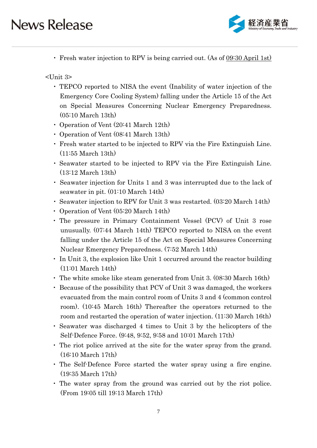

・ Fresh water injection to RPV is being carried out. (As of 09:30 April 1st)

<Unit 3>

- ・ TEPCO reported to NISA the event (Inability of water injection of the Emergency Core Cooling System) falling under the Article 15 of the Act on Special Measures Concerning Nuclear Emergency Preparedness. (05:10 March 13th)
- ・ Operation of Vent (20:41 March 12th)
- ・ Operation of Vent (08:41 March 13th)
- ・ Fresh water started to be injected to RPV via the Fire Extinguish Line. (11:55 March 13th)
- ・ Seawater started to be injected to RPV via the Fire Extinguish Line. (13:12 March 13th)
- ・ Seawater injection for Units 1 and 3 was interrupted due to the lack of seawater in pit. (01:10 March 14th)
- ・ Seawater injection to RPV for Unit 3 was restarted. (03:20 March 14th)
- ・ Operation of Vent (05:20 March 14th)
- ・ The pressure in Primary Containment Vessel (PCV) of Unit 3 rose unusually. (07:44 March 14th) TEPCO reported to NISA on the event falling under the Article 15 of the Act on Special Measures Concerning Nuclear Emergency Preparedness. (7:52 March 14th)
- ・ In Unit 3, the explosion like Unit 1 occurred around the reactor building (11:01 March 14th)
- ・ The white smoke like steam generated from Unit 3. (08:30 March 16th)
- ・ Because of the possibility that PCV of Unit 3 was damaged, the workers evacuated from the main control room of Units 3 and 4 (common control room). (10:45 March 16th) Thereafter the operators returned to the room and restarted the operation of water injection. (11:30 March 16th)
- ・ Seawater was discharged 4 times to Unit 3 by the helicopters of the Self-Defence Force. (9:48, 9:52, 9:58 and 10:01 March 17th)
- ・ The riot police arrived at the site for the water spray from the grand. (16:10 March 17th)
- ・ The Self-Defence Force started the water spray using a fire engine. (19:35 March 17th)
- ・ The water spray from the ground was carried out by the riot police. (From 19:05 till 19:13 March 17th)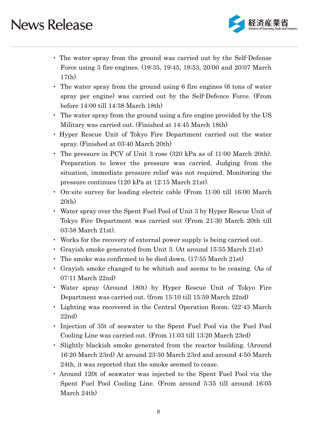

- ・ The water spray from the ground was carried out by the Self-Defense Force using 5 fire engines. (19:35, 19:45, 19:53, 20:00 and 20:07 March 17th)
- ・ The water spray from the ground using 6 fire engines (6 tons of water spray per engine) was carried out by the Self-Defence Force. (From before 14:00 till 14:38 March 18th)
- ・ The water spray from the ground using a fire engine provided by the US Military was carried out. (Finished at 14:45 March 18th)
- ・ Hyper Rescue Unit of Tokyo Fire Department carried out the water spray. (Finished at 03:40 March 20th)
- ・ The pressure in PCV of Unit 3 rose (320 kPa as of 11:00 March 20th). Preparation to lower the pressure was carried. Judging from the situation, immediate pressure relief was not required. Monitoring the pressure continues (120 kPa at 12:15 March 21st).
- ・ On-site survey for leading electric cable (From 11:00 till 16:00 March 20th)
- ・ Water spray over the Spent Fuel Pool of Unit 3 by Hyper Rescue Unit of Tokyo Fire Department was carried out (From 21:30 March 20th till 03:58 March 21st).
- ・ Works for the recovery of external power supply is being carried out.
- ・ Grayish smoke generated from Unit 3. (At around 15:55 March 21st)
- ・ The smoke was confirmed to be died down. (17:55 March 21st)
- ・ Grayish smoke changed to be whitish and seems to be ceasing. (As of 07:11 March 22nd)
- ・ Water spray (Around 180t) by Hyper Rescue Unit of Tokyo Fire Department was carried out. (from 15:10 till 15:59 March 22nd)
- ・ Lighting was recovered in the Central Operation Room. (22:43 March 22nd)
- ・ Injection of 35t of seawater to the Spent Fuel Pool via the Fuel Pool Cooling Line was carried out. (From 11:03 till 13:20 March 23rd)
- ・ Slightly blackish smoke generated from the reactor building. (Around 16:20 March 23rd) At around 23:30 March 23rd and around 4:50 March 24th, it was reported that the smoke seemed to cease.
- ・ Around 120t of seawater was injected to the Spent Fuel Pool via the Spent Fuel Pool Cooling Line. (From around 5:35 till around 16:05 March 24th)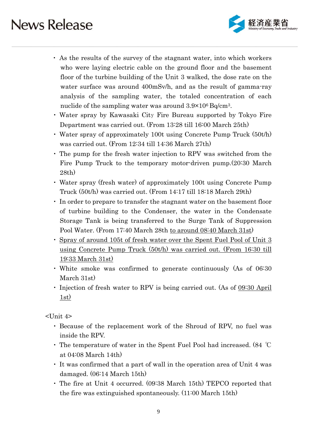

- ・ As the results of the survey of the stagnant water, into which workers who were laying electric cable on the ground floor and the basement floor of the turbine building of the Unit 3 walked, the dose rate on the water surface was around 400mSv/h, and as the result of gamma-ray analysis of the sampling water, the totaled concentration of each nuclide of the sampling water was around  $3.9\times10^6$  Bq/cm<sup>3</sup>.
- ・ Water spray by Kawasaki City Fire Bureau supported by Tokyo Fire Department was carried out. (From 13:28 till 16:00 March 25th)
- ・ Water spray of approximately 100t using Concrete Pump Truck (50t/h) was carried out. (From 12:34 till 14:36 March 27th)
- ・ The pump for the fresh water injection to RPV was switched from the Fire Pump Truck to the temporary motor-driven pump.(20:30 March 28th)
- ・ Water spray (fresh water) of approximately 100t using Concrete Pump Truck (50t/h) was carried out. (From 14:17 till 18:18 March 29th)
- ・ In order to prepare to transfer the stagnant water on the basement floor of turbine building to the Condenser, the water in the Condensate Storage Tank is being transferred to the Surge Tank of Suppression Pool Water. (From 17:40 March 28th to around 08:40 March 31st)
- ・ Spray of around 105t of fresh water over the Spent Fuel Pool of Unit 3 using Concrete Pump Truck (50t/h) was carried out. (From 16:30 till 19:33 March 31st)
- ・ White smoke was confirmed to generate continuously (As of 06:30 March 31st)
- ・ Injection of fresh water to RPV is being carried out. (As of 09:30 April  $1st)$

<Unit 4>

- ・ Because of the replacement work of the Shroud of RPV, no fuel was inside the RPV.
- ・ The temperature of water in the Spent Fuel Pool had increased. (84 ℃ at 04:08 March 14th)
- ・ It was confirmed that a part of wall in the operation area of Unit 4 was damaged. (06:14 March 15th)
- ・ The fire at Unit 4 occurred. (09:38 March 15th) TEPCO reported that the fire was extinguished spontaneously. (11:00 March 15th)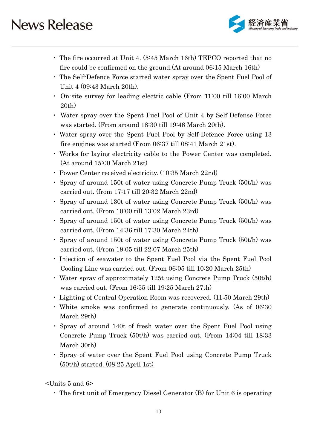

- ・ The fire occurred at Unit 4. (5:45 March 16th) TEPCO reported that no fire could be confirmed on the ground.(At around 06:15 March 16th)
- ・ The Self-Defence Force started water spray over the Spent Fuel Pool of Unit 4 (09:43 March 20th).
- ・ On-site survey for leading electric cable (From 11:00 till 16:00 March 20th)
- ・ Water spray over the Spent Fuel Pool of Unit 4 by Self-Defense Force was started. (From around 18:30 till 19:46 March 20th).
- ・ Water spray over the Spent Fuel Pool by Self-Defence Force using 13 fire engines was started (From 06:37 till 08:41 March 21st).
- ・ Works for laying electricity cable to the Power Center was completed. (At around 15:00 March 21st)
- ・ Power Center received electricity. (10:35 March 22nd)
- ・ Spray of around 150t of water using Concrete Pump Truck (50t/h) was carried out. (from 17:17 till 20:32 March 22nd)
- ・ Spray of around 130t of water using Concrete Pump Truck (50t/h) was carried out. (From 10:00 till 13:02 March 23rd)
- ・ Spray of around 150t of water using Concrete Pump Truck (50t/h) was carried out. (From 14:36 till 17:30 March 24th)
- ・ Spray of around 150t of water using Concrete Pump Truck (50t/h) was carried out. (From 19:05 till 22:07 March 25th)
- ・ Injection of seawater to the Spent Fuel Pool via the Spent Fuel Pool Cooling Line was carried out. (From 06:05 till 10:20 March 25th)
- ・ Water spray of approximately 125t using Concrete Pump Truck (50t/h) was carried out. (From 16:55 till 19:25 March 27th)
- Lighting of Central Operation Room was recovered. (11:50 March 29th)
- ・ White smoke was confirmed to generate continuously. (As of 06:30 March 29th)
- ・ Spray of around 140t of fresh water over the Spent Fuel Pool using Concrete Pump Truck (50t/h) was carried out. (From 14:04 till 18:33 March 30th)
- ・ Spray of water over the Spent Fuel Pool using Concrete Pump Truck (50t/h) started. (08:25 April 1st)

<Units 5 and 6>

・ The first unit of Emergency Diesel Generator (B) for Unit 6 is operating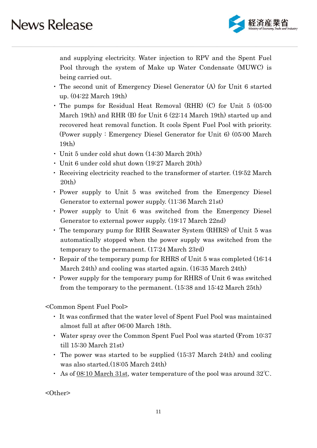

and supplying electricity. Water injection to RPV and the Spent Fuel Pool through the system of Make up Water Condensate (MUWC) is being carried out.

- ・ The second unit of Emergency Diesel Generator (A) for Unit 6 started up. (04:22 March 19th)
- ・ The pumps for Residual Heat Removal (RHR) (C) for Unit 5 (05:00 March 19th) and RHR (B) for Unit 6 (22:14 March 19th) started up and recovered heat removal function. It cools Spent Fuel Pool with priority. (Power supply : Emergency Diesel Generator for Unit 6) (05:00 March 19th)
- ・ Unit 5 under cold shut down (14:30 March 20th)
- ・ Unit 6 under cold shut down (19:27 March 20th)
- ・ Receiving electricity reached to the transformer of starter. (19:52 March 20th)
- ・ Power supply to Unit 5 was switched from the Emergency Diesel Generator to external power supply. (11:36 March 21st)
- ・ Power supply to Unit 6 was switched from the Emergency Diesel Generator to external power supply. (19:17 March 22nd)
- ・ The temporary pump for RHR Seawater System (RHRS) of Unit 5 was automatically stopped when the power supply was switched from the temporary to the permanent. (17:24 March 23rd)
- ・ Repair of the temporary pump for RHRS of Unit 5 was completed (16:14 March 24th) and cooling was started again. (16:35 March 24th)
- ・ Power supply for the temporary pump for RHRS of Unit 6 was switched from the temporary to the permanent. (15:38 and 15:42 March 25th)

<Common Spent Fuel Pool>

- ・ It was confirmed that the water level of Spent Fuel Pool was maintained almost full at after 06:00 March 18th.
- ・ Water spray over the Common Spent Fuel Pool was started (From 10:37 till 15:30 March 21st)
- ・ The power was started to be supplied (15:37 March 24th) and cooling was also started.(18:05 March 24th)
- ・ As of 08:10 March 31st, water temperature of the pool was around 32℃.

<Other>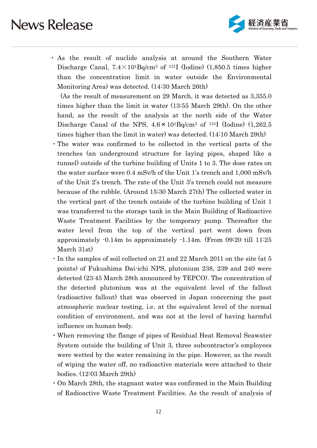

・ As the result of nuclide analysis at around the Southern Water Discharge Canal,  $7.4 \times 10^{1}$ Bq/cm<sup>3</sup> of <sup>131</sup>I (Iodine) (1,850.5 times higher than the concentration limit in water outside the Environmental Monitoring Area) was detected. (14:30 March 26th)

(As the result of measurement on 29 March, it was detected as 3,355.0 times higher than the limit in water (13:55 March 29th). On the other hand, as the result of the analysis at the north side of the Water Discharge Canal of the NPS, 4.6×101Bq/cm3 of 131I (Iodine) (1,262.5 times higher than the limit in water) was detected. (14:10 March 29th)

- ・The water was confirmed to be collected in the vertical parts of the trenches (an underground structure for laying pipes, shaped like a tunnel) outside of the turbine building of Units 1 to 3. The dose rates on the water surface were 0.4 mSv/h of the Unit 1's trench and 1,000 mSv/h of the Unit 2's trench. The rate of the Unit 3's trench could not measure because of the rubble. (Around 15:30 March 27th) The collected water in the vertical part of the trench outside of the turbine building of Unit 1 was transferred to the storage tank in the Main Building of Radioactive Waste Treatment Facilities by the temporary pump. Thereafter the water level from the top of the vertical part went down from approximately -0.14m to approximately -1.14m. (From 09:20 till 11:25 March 31st)
- ・In the samples of soil collected on 21 and 22 March 2011 on the site (at 5 points) of Fukushima Dai-ichi NPS, plutonium 238, 239 and 240 were detected (23:45 March 28th announced by TEPCO). The concentration of the detected plutonium was at the equivalent level of the fallout (radioactive fallout) that was observed in Japan concerning the past atmospheric nuclear testing, i.e. at the equivalent level of the normal condition of environment, and was not at the level of having harmful influence on human body.
- ・When removing the flange of pipes of Residual Heat Removal Seawater System outside the building of Unit 3, three subcontractor's employees were wetted by the water remaining in the pipe. However, as the result of wiping the water off, no radioactive materials were attached to their bodies. (12:03 March 29th)
- ・On March 28th, the stagnant water was confirmed in the Main Building of Radioactive Waste Treatment Facilities. As the result of analysis of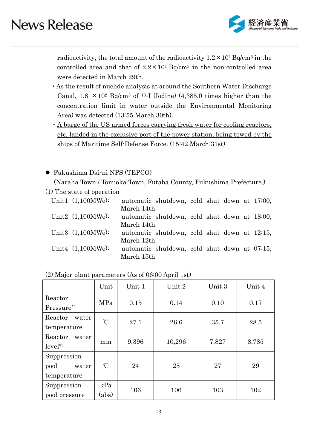

radioactivity, the total amount of the radioactivity  $1.2 \times 10^1$  Bq/cm<sup>3</sup> in the controlled area and that of  $2.2 \times 10^{1}$  Bq/cm<sup>3</sup> in the non-controlled area were detected in March 29th.

- ・As the result of nuclide analysis at around the Southern Water Discharge Canal,  $1.8 \times 10^2$  Bq/cm<sup>3</sup> of <sup>131</sup>I (Iodine) (4,385.0 times higher than the concentration limit in water outside the Environmental Monitoring Area) was detected (13:55 March 30th).
- ・A barge of the US armed forces carrying fresh water for cooling reactors, etc. landed in the exclusive port of the power station, being towed by the ships of Maritime Self-Defense Force. (15:42 March 31st)

#### Fukushima Dai-ni NPS (TEPCO)

(Naraha Town / Tomioka Town, Futaba County, Fukushima Prefecture.)

(1) The state of operation

| Unit1 $(1,100MWe)$ : |            | automatic shutdown, cold shut down at 17:00, |  |  |  |
|----------------------|------------|----------------------------------------------|--|--|--|
|                      | March 14th |                                              |  |  |  |
| Unit2 $(1,100MWe)$ : |            | automatic shutdown, cold shut down at 18:00, |  |  |  |
|                      | March 14th |                                              |  |  |  |
| Unit3 $(1,100MWe)$ : |            | automatic shutdown, cold shut down at 12:15, |  |  |  |
|                      | March 12th |                                              |  |  |  |
| Unit4 $(1,100MWe)$ : |            | automatic shutdown, cold shut down at 07:15, |  |  |  |
|                      | March 15th |                                              |  |  |  |

|                                             | Unit                                | Unit 1 | Unit 2 | Unit 3 | Unit 4 |
|---------------------------------------------|-------------------------------------|--------|--------|--------|--------|
| Reactor<br>Pressure*1                       | MPa                                 | 0.15   | 0.14   | 0.10   | 0.17   |
| Reactor<br>water<br>temperature             | $\mathrm{C}$                        | 27.1   | 26.6   | 35.7   | 28.5   |
| Reactor<br>water<br>$level^*2$              | mm                                  | 9,396  | 10,296 | 7,827  | 8,785  |
| Suppression<br>pool<br>water<br>temperature | $\mathrm{C}$                        | 24     | 25     | 27     | 29     |
| Suppression<br>pool pressure                | kPa<br>$\left( \mathrm{abs}\right)$ | 106    | 106    | 103    | 102    |

| $(2)$ Major plant parameters (As of $06:00$ April 1st) |  |
|--------------------------------------------------------|--|
|--------------------------------------------------------|--|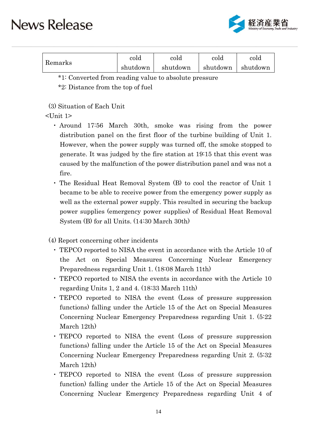

| Remarks | cold     | cold     | cold     | cold     |
|---------|----------|----------|----------|----------|
|         | shutdown | shutdown | shutdown | shutdown |

\*1: Converted from reading value to absolute pressure

\*2: Distance from the top of fuel

(3) Situation of Each Unit

### $\langle$ Unit 1>

- ・ Around 17:56 March 30th, smoke was rising from the power distribution panel on the first floor of the turbine building of Unit 1. However, when the power supply was turned off, the smoke stopped to generate. It was judged by the fire station at 19:15 that this event was caused by the malfunction of the power distribution panel and was not a fire.
- ・ The Residual Heat Removal System (B) to cool the reactor of Unit 1 became to be able to receive power from the emergency power supply as well as the external power supply. This resulted in securing the backup power supplies (emergency power supplies) of Residual Heat Removal System (B) for all Units. (14:30 March 30th)

(4) Report concerning other incidents

- ・ TEPCO reported to NISA the event in accordance with the Article 10 of the Act on Special Measures Concerning Nuclear Emergency Preparedness regarding Unit 1. (18:08 March 11th)
- ・ TEPCO reported to NISA the events in accordance with the Article 10 regarding Units 1, 2 and 4. (18:33 March 11th)
- ・ TEPCO reported to NISA the event (Loss of pressure suppression functions) falling under the Article 15 of the Act on Special Measures Concerning Nuclear Emergency Preparedness regarding Unit 1. (5:22 March 12th)
- ・ TEPCO reported to NISA the event (Loss of pressure suppression functions) falling under the Article 15 of the Act on Special Measures Concerning Nuclear Emergency Preparedness regarding Unit 2. (5:32 March 12th)
- ・ TEPCO reported to NISA the event (Loss of pressure suppression function) falling under the Article 15 of the Act on Special Measures Concerning Nuclear Emergency Preparedness regarding Unit 4 of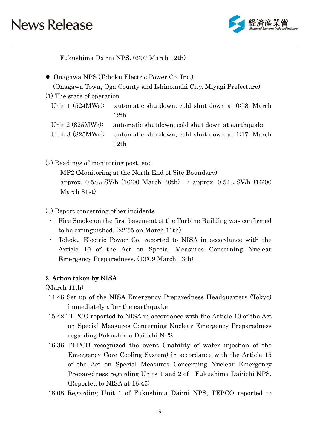

Fukushima Dai-ni NPS. (6:07 March 12th)

Onagawa NPS (Tohoku Electric Power Co. Inc.)

(Onagawa Town, Oga County and Ishinomaki City, Miyagi Prefecture)

(1) The state of operation

Unit 1 (524MWe): automatic shutdown, cold shut down at 0:58, March 12th Unit 2 (825MWe): automatic shutdown, cold shut down at earthquake

Unit 3 (825MWe): automatic shutdown, cold shut down at 1:17, March 12th

(2) Readings of monitoring post, etc.

MP2 (Monitoring at the North End of Site Boundary) approx.  $0.58 \mu$  SV/h (16:00 March 30th)  $\rightarrow$  approx.  $0.54 \mu$  SV/h (16:00 March 31st)

(3) Report concerning other incidents

- Fire Smoke on the first basement of the Turbine Building was confirmed to be extinguished. (22:55 on March 11th)
- ・ Tohoku Electric Power Co. reported to NISA in accordance with the Article 10 of the Act on Special Measures Concerning Nuclear Emergency Preparedness. (13:09 March 13th)

### 2. Action taken by NISA

(March 11th)

- 14:46 Set up of the NISA Emergency Preparedness Headquarters (Tokyo) immediately after the earthquake
- 15:42 TEPCO reported to NISA in accordance with the Article 10 of the Act on Special Measures Concerning Nuclear Emergency Preparedness regarding Fukushima Dai-ichi NPS.
- 16:36 TEPCO recognized the event (Inability of water injection of the Emergency Core Cooling System) in accordance with the Article 15 of the Act on Special Measures Concerning Nuclear Emergency Preparedness regarding Units 1 and 2 of Fukushima Dai-ichi NPS. (Reported to NISA at 16:45)
- 18:08 Regarding Unit 1 of Fukushima Dai-ni NPS, TEPCO reported to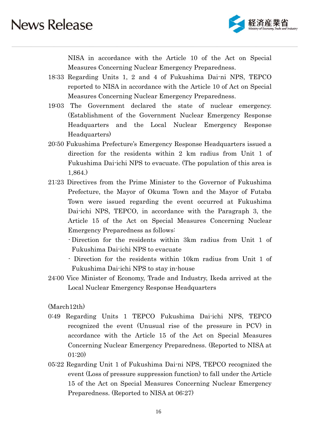

NISA in accordance with the Article 10 of the Act on Special Measures Concerning Nuclear Emergency Preparedness.

- 18:33 Regarding Units 1, 2 and 4 of Fukushima Dai-ni NPS, TEPCO reported to NISA in accordance with the Article 10 of Act on Special Measures Concerning Nuclear Emergency Preparedness.
- 19:03 The Government declared the state of nuclear emergency. (Establishment of the Government Nuclear Emergency Response Headquarters and the Local Nuclear Emergency Response Headquarters)
- 20:50 Fukushima Prefecture's Emergency Response Headquarters issued a direction for the residents within 2 km radius from Unit 1 of Fukushima Dai-ichi NPS to evacuate. (The population of this area is 1,864.)
- 21:23 Directives from the Prime Minister to the Governor of Fukushima Prefecture, the Mayor of Okuma Town and the Mayor of Futaba Town were issued regarding the event occurred at Fukushima Dai-ichi NPS, TEPCO, in accordance with the Paragraph 3, the Article 15 of the Act on Special Measures Concerning Nuclear Emergency Preparedness as follows:
	- Direction for the residents within 3km radius from Unit 1 of Fukushima Dai-ichi NPS to evacuate
	- Direction for the residents within 10km radius from Unit 1 of Fukushima Dai-ichi NPS to stay in-house
- 24:00 Vice Minister of Economy, Trade and Industry, Ikeda arrived at the Local Nuclear Emergency Response Headquarters

(March12th)

- 0:49 Regarding Units 1 TEPCO Fukushima Dai-ichi NPS, TEPCO recognized the event (Unusual rise of the pressure in PCV) in accordance with the Article 15 of the Act on Special Measures Concerning Nuclear Emergency Preparedness. (Reported to NISA at 01:20)
- 05:22 Regarding Unit 1 of Fukushima Dai-ni NPS, TEPCO recognized the event (Loss of pressure suppression function) to fall under the Article 15 of the Act on Special Measures Concerning Nuclear Emergency Preparedness. (Reported to NISA at 06:27)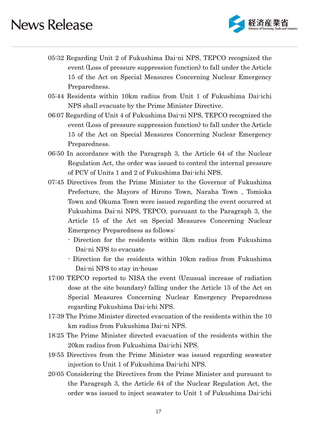

- 05:32 Regarding Unit 2 of Fukushima Dai-ni NPS, TEPCO recognized the event (Loss of pressure suppression function) to fall under the Article 15 of the Act on Special Measures Concerning Nuclear Emergency Preparedness.
- 05:44 Residents within 10km radius from Unit 1 of Fukushima Dai-ichi NPS shall evacuate by the Prime Minister Directive.
- 06:07 Regarding of Unit 4 of Fukushima Dai-ni NPS, TEPCO recognized the event (Loss of pressure suppression function) to fall under the Article 15 of the Act on Special Measures Concerning Nuclear Emergency Preparedness.
- 06:50 In accordance with the Paragraph 3, the Article 64 of the Nuclear Regulation Act, the order was issued to control the internal pressure of PCV of Units 1 and 2 of Fukushima Dai-ichi NPS.
- 07:45 Directives from the Prime Minister to the Governor of Fukushima Prefecture, the Mayors of Hirono Town, Naraha Town , Tomioka Town and Okuma Town were issued regarding the event occurred at Fukushima Dai-ni NPS, TEPCO, pursuant to the Paragraph 3, the Article 15 of the Act on Special Measures Concerning Nuclear Emergency Preparedness as follows:
	- Direction for the residents within 3km radius from Fukushima Dai-ni NPS to evacuate
	- Direction for the residents within 10km radius from Fukushima Dai-ni NPS to stay in-house
- 17:00 TEPCO reported to NISA the event (Unusual increase of radiation dose at the site boundary) falling under the Article 15 of the Act on Special Measures Concerning Nuclear Emergency Preparedness regarding Fukushima Dai-ichi NPS.
- 17:39 The Prime Minister directed evacuation of the residents within the 10 km radius from Fukushima Dai-ni NPS.
- 18:25 The Prime Minister directed evacuation of the residents within the 20km radius from Fukushima Dai-ichi NPS.
- 19:55 Directives from the Prime Minister was issued regarding seawater injection to Unit 1 of Fukushima Dai-ichi NPS.
- 20:05 Considering the Directives from the Prime Minister and pursuant to the Paragraph 3, the Article 64 of the Nuclear Regulation Act, the order was issued to inject seawater to Unit 1 of Fukushima Dai-ichi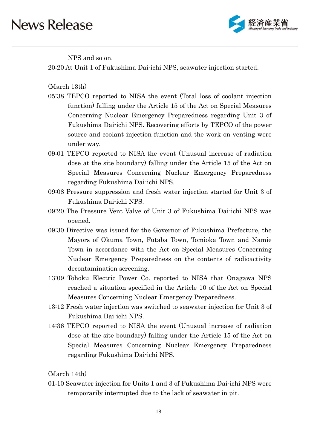

NPS and so on.

20:20 At Unit 1 of Fukushima Dai-ichi NPS, seawater injection started.

(March 13th)

- 05:38 TEPCO reported to NISA the event (Total loss of coolant injection function) falling under the Article 15 of the Act on Special Measures Concerning Nuclear Emergency Preparedness regarding Unit 3 of Fukushima Dai-ichi NPS. Recovering efforts by TEPCO of the power source and coolant injection function and the work on venting were under way.
- 09:01 TEPCO reported to NISA the event (Unusual increase of radiation dose at the site boundary) falling under the Article 15 of the Act on Special Measures Concerning Nuclear Emergency Preparedness regarding Fukushima Dai-ichi NPS.
- 09:08 Pressure suppression and fresh water injection started for Unit 3 of Fukushima Dai-ichi NPS.
- 09:20 The Pressure Vent Valve of Unit 3 of Fukushima Dai-ichi NPS was opened.
- 09:30 Directive was issued for the Governor of Fukushima Prefecture, the Mayors of Okuma Town, Futaba Town, Tomioka Town and Namie Town in accordance with the Act on Special Measures Concerning Nuclear Emergency Preparedness on the contents of radioactivity decontamination screening.
- 13:09 Tohoku Electric Power Co. reported to NISA that Onagawa NPS reached a situation specified in the Article 10 of the Act on Special Measures Concerning Nuclear Emergency Preparedness.
- 13:12 Fresh water injection was switched to seawater injection for Unit 3 of Fukushima Dai-ichi NPS.
- 14:36 TEPCO reported to NISA the event (Unusual increase of radiation dose at the site boundary) falling under the Article 15 of the Act on Special Measures Concerning Nuclear Emergency Preparedness regarding Fukushima Dai-ichi NPS.

(March 14th)

01:10 Seawater injection for Units 1 and 3 of Fukushima Dai-ichi NPS were temporarily interrupted due to the lack of seawater in pit.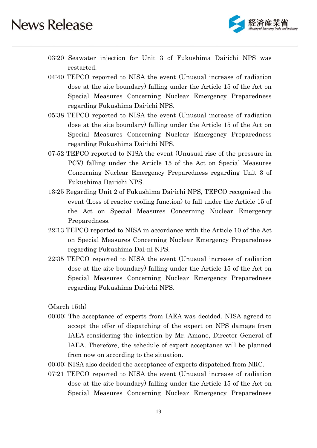

- 03:20 Seawater injection for Unit 3 of Fukushima Dai-ichi NPS was restarted.
- 04:40 TEPCO reported to NISA the event (Unusual increase of radiation dose at the site boundary) falling under the Article 15 of the Act on Special Measures Concerning Nuclear Emergency Preparedness regarding Fukushima Dai-ichi NPS.
- 05:38 TEPCO reported to NISA the event (Unusual increase of radiation dose at the site boundary) falling under the Article 15 of the Act on Special Measures Concerning Nuclear Emergency Preparedness regarding Fukushima Dai-ichi NPS.
- 07:52 TEPCO reported to NISA the event (Unusual rise of the pressure in PCV) falling under the Article 15 of the Act on Special Measures Concerning Nuclear Emergency Preparedness regarding Unit 3 of Fukushima Dai-ichi NPS.
- 13:25 Regarding Unit 2 of Fukushima Dai-ichi NPS, TEPCO recognised the event (Loss of reactor cooling function) to fall under the Article 15 of the Act on Special Measures Concerning Nuclear Emergency Preparedness.
- 22:13 TEPCO reported to NISA in accordance with the Article 10 of the Act on Special Measures Concerning Nuclear Emergency Preparedness regarding Fukushima Dai-ni NPS.
- 22:35 TEPCO reported to NISA the event (Unusual increase of radiation dose at the site boundary) falling under the Article 15 of the Act on Special Measures Concerning Nuclear Emergency Preparedness regarding Fukushima Dai-ichi NPS.

(March 15th)

- 00:00: The acceptance of experts from IAEA was decided. NISA agreed to accept the offer of dispatching of the expert on NPS damage from IAEA considering the intention by Mr. Amano, Director General of IAEA. Therefore, the schedule of expert acceptance will be planned from now on according to the situation.
- 00:00: NISA also decided the acceptance of experts dispatched from NRC.
- 07:21 TEPCO reported to NISA the event (Unusual increase of radiation dose at the site boundary) falling under the Article 15 of the Act on Special Measures Concerning Nuclear Emergency Preparedness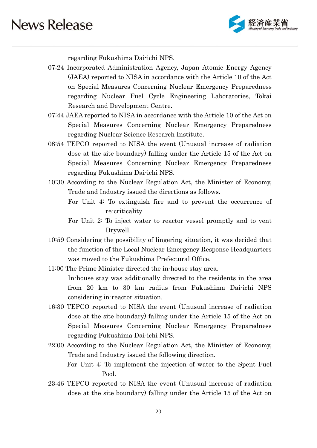

regarding Fukushima Dai-ichi NPS.

- 07:24 Incorporated Administration Agency, Japan Atomic Energy Agency (JAEA) reported to NISA in accordance with the Article 10 of the Act on Special Measures Concerning Nuclear Emergency Preparedness regarding Nuclear Fuel Cycle Engineering Laboratories, Tokai Research and Development Centre.
- 07:44 JAEA reported to NISA in accordance with the Article 10 of the Act on Special Measures Concerning Nuclear Emergency Preparedness regarding Nuclear Science Research Institute.
- 08:54 TEPCO reported to NISA the event (Unusual increase of radiation dose at the site boundary) falling under the Article 15 of the Act on Special Measures Concerning Nuclear Emergency Preparedness regarding Fukushima Dai-ichi NPS.
- 10:30 According to the Nuclear Regulation Act, the Minister of Economy, Trade and Industry issued the directions as follows.
	- For Unit 4: To extinguish fire and to prevent the occurrence of re-criticality
	- For Unit 2: To inject water to reactor vessel promptly and to vent Drywell.
- 10:59 Considering the possibility of lingering situation, it was decided that the function of the Local Nuclear Emergency Response Headquarters was moved to the Fukushima Prefectural Office.
- 11:00 The Prime Minister directed the in-house stay area. In-house stay was additionally directed to the residents in the area from 20 km to 30 km radius from Fukushima Dai-ichi NPS considering in-reactor situation.
- 16:30 TEPCO reported to NISA the event (Unusual increase of radiation dose at the site boundary) falling under the Article 15 of the Act on Special Measures Concerning Nuclear Emergency Preparedness regarding Fukushima Dai-ichi NPS.
- 22:00 According to the Nuclear Regulation Act, the Minister of Economy, Trade and Industry issued the following direction. For Unit 4: To implement the injection of water to the Spent Fuel Pool.
- 23:46 TEPCO reported to NISA the event (Unusual increase of radiation dose at the site boundary) falling under the Article 15 of the Act on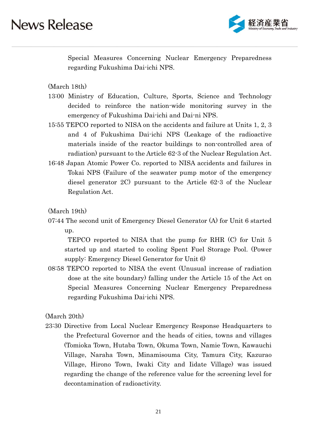

Special Measures Concerning Nuclear Emergency Preparedness regarding Fukushima Dai-ichi NPS.

(March 18th)

- 13:00 Ministry of Education, Culture, Sports, Science and Technology decided to reinforce the nation-wide monitoring survey in the emergency of Fukushima Dai-ichi and Dai-ni NPS.
- 15:55 TEPCO reported to NISA on the accidents and failure at Units 1, 2, 3 and 4 of Fukushima Dai-ichi NPS (Leakage of the radioactive materials inside of the reactor buildings to non-controlled area of radiation) pursuant to the Article 62-3 of the Nuclear Regulation Act.
- 16:48 Japan Atomic Power Co. reported to NISA accidents and failures in Tokai NPS (Failure of the seawater pump motor of the emergency diesel generator 2C) pursuant to the Article 62-3 of the Nuclear Regulation Act.

(March 19th)

07:44 The second unit of Emergency Diesel Generator (A) for Unit 6 started up.

 TEPCO reported to NISA that the pump for RHR (C) for Unit 5 started up and started to cooling Spent Fuel Storage Pool. (Power supply: Emergency Diesel Generator for Unit 6)

08:58 TEPCO reported to NISA the event (Unusual increase of radiation dose at the site boundary) falling under the Article 15 of the Act on Special Measures Concerning Nuclear Emergency Preparedness regarding Fukushima Dai-ichi NPS.

(March 20th)

23:30 Directive from Local Nuclear Emergency Response Headquarters to the Prefectural Governor and the heads of cities, towns and villages (Tomioka Town, Hutaba Town, Okuma Town, Namie Town, Kawauchi Village, Naraha Town, Minamisouma City, Tamura City, Kazurao Village, Hirono Town, Iwaki City and Iidate Village) was issued regarding the change of the reference value for the screening level for decontamination of radioactivity.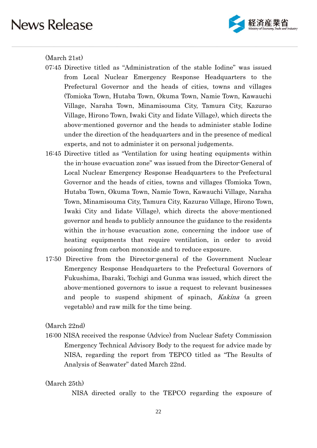

#### (March 21st)

- 07:45 Directive titled as "Administration of the stable Iodine" was issued from Local Nuclear Emergency Response Headquarters to the Prefectural Governor and the heads of cities, towns and villages (Tomioka Town, Hutaba Town, Okuma Town, Namie Town, Kawauchi Village, Naraha Town, Minamisouma City, Tamura City, Kazurao Village, Hirono Town, Iwaki City and Iidate Village), which directs the above-mentioned governor and the heads to administer stable Iodine under the direction of the headquarters and in the presence of medical experts, and not to administer it on personal judgements.
- 16:45 Directive titled as "Ventilation for using heating equipments within the in-house evacuation zone" was issued from the Director-General of Local Nuclear Emergency Response Headquarters to the Prefectural Governor and the heads of cities, towns and villages (Tomioka Town, Hutaba Town, Okuma Town, Namie Town, Kawauchi Village, Naraha Town, Minamisouma City, Tamura City, Kazurao Village, Hirono Town, Iwaki City and Iidate Village), which directs the above-mentioned governor and heads to publicly announce the guidance to the residents within the in-house evacuation zone, concerning the indoor use of heating equipments that require ventilation, in order to avoid poisoning from carbon monoxide and to reduce exposure.
- 17:50 Directive from the Director-general of the Government Nuclear Emergency Response Headquarters to the Prefectural Governors of Fukushima, Ibaraki, Tochigi and Gunma was issued, which direct the above-mentioned governors to issue a request to relevant businesses and people to suspend shipment of spinach, Kakina (a green vegetable) and raw milk for the time being.

(March 22nd)

16:00 NISA received the response (Advice) from Nuclear Safety Commission Emergency Technical Advisory Body to the request for advice made by NISA, regarding the report from TEPCO titled as "The Results of Analysis of Seawater" dated March 22nd.

#### (March 25th)

NISA directed orally to the TEPCO regarding the exposure of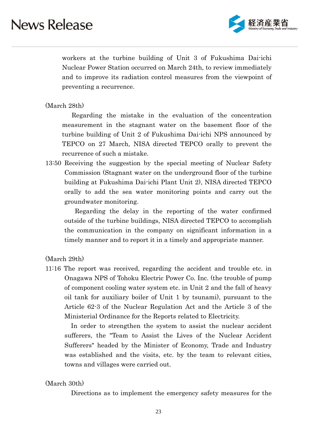

workers at the turbine building of Unit 3 of Fukushima Dai-ichi Nuclear Power Station occurred on March 24th, to review immediately and to improve its radiation control measures from the viewpoint of preventing a recurrence.

#### (March 28th)

 Regarding the mistake in the evaluation of the concentration measurement in the stagnant water on the basement floor of the turbine building of Unit 2 of Fukushima Dai-ichi NPS announced by TEPCO on 27 March, NISA directed TEPCO orally to prevent the recurrence of such a mistake.

13:50 Receiving the suggestion by the special meeting of Nuclear Safety Commission (Stagnant water on the underground floor of the turbine building at Fukushima Dai-ichi Plant Unit 2), NISA directed TEPCO orally to add the sea water monitoring points and carry out the groundwater monitoring.

 Regarding the delay in the reporting of the water confirmed outside of the turbine buildings, NISA directed TEPCO to accomplish the communication in the company on significant information in a timely manner and to report it in a timely and appropriate manner.

(March 29th)

11:16 The report was received, regarding the accident and trouble etc. in Onagawa NPS of Tohoku Electric Power Co. Inc. (the trouble of pump of component cooling water system etc. in Unit 2 and the fall of heavy oil tank for auxiliary boiler of Unit 1 by tsunami), pursuant to the Article 62-3 of the Nuclear Regulation Act and the Article 3 of the Ministerial Ordinance for the Reports related to Electricity.

In order to strengthen the system to assist the nuclear accident sufferers, the "Team to Assist the Lives of the Nuclear Accident Sufferers" headed by the Minister of Economy, Trade and Industry was established and the visits, etc. by the team to relevant cities, towns and villages were carried out.

#### (March 30th)

Directions as to implement the emergency safety measures for the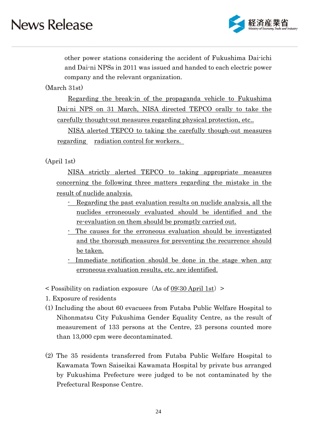

other power stations considering the accident of Fukushima Dai-ichi and Dai-ni NPSs in 2011 was issued and handed to each electric power company and the relevant organization.

(March 31st)

Regarding the break-in of the propaganda vehicle to Fukushima Dai-ni NPS on 31 March, NISA directed TEPCO orally to take the carefully thought-out measures regarding physical protection, etc..

NISA alerted TEPCO to taking the carefully though-out measures regarding <u>radiation</u> control for workers.

### (April 1st)

 NISA strictly alerted TEPCO to taking appropriate measures concerning the following three matters regarding the mistake in the result of nuclide analysis.

- Regarding the past evaluation results on nuclide analysis, all the nuclides erroneously evaluated should be identified and the re-evaluation on them should be promptly carried out.
- The causes for the erroneous evaluation should be investigated and the thorough measures for preventing the recurrence should be taken.
- Immediate notification should be done in the stage when any erroneous evaluation results, etc. are identified.
- $\leq$  Possibility on radiation exposure (As of 09:30 April 1st)  $\geq$
- 1. Exposure of residents
- (1) Including the about 60 evacuees from Futaba Public Welfare Hospital to Nihonmatsu City Fukushima Gender Equality Centre, as the result of measurement of 133 persons at the Centre, 23 persons counted more than 13,000 cpm were decontaminated.
- (2) The 35 residents transferred from Futaba Public Welfare Hospital to Kawamata Town Saiseikai Kawamata Hospital by private bus arranged by Fukushima Prefecture were judged to be not contaminated by the Prefectural Response Centre.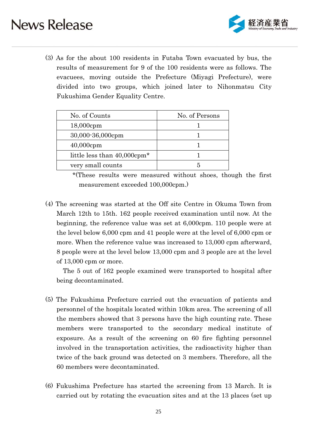

(3) As for the about 100 residents in Futaba Town evacuated by bus, the results of measurement for 9 of the 100 residents were as follows. The evacuees, moving outside the Prefecture (Miyagi Prefecture), were divided into two groups, which joined later to Nihonmatsu City Fukushima Gender Equality Centre.

| No. of Counts                           | No. of Persons |
|-----------------------------------------|----------------|
| $18,000$ cpm                            |                |
| 30,000-36,000cpm                        |                |
| $40,000$ cpm                            |                |
| little less than 40,000cpm <sup>*</sup> |                |
| very small counts                       |                |

 \*(These results were measured without shoes, though the first measurement exceeded 100,000cpm.)

(4) The screening was started at the Off site Centre in Okuma Town from March 12th to 15th. 162 people received examination until now. At the beginning, the reference value was set at 6,000cpm. 110 people were at the level below 6,000 cpm and 41 people were at the level of 6,000 cpm or more. When the reference value was increased to 13,000 cpm afterward, 8 people were at the level below 13,000 cpm and 3 people are at the level of 13,000 cpm or more.

The 5 out of 162 people examined were transported to hospital after being decontaminated.

- (5) The Fukushima Prefecture carried out the evacuation of patients and personnel of the hospitals located within 10km area. The screening of all the members showed that 3 persons have the high counting rate. These members were transported to the secondary medical institute of exposure. As a result of the screening on 60 fire fighting personnel involved in the transportation activities, the radioactivity higher than twice of the back ground was detected on 3 members. Therefore, all the 60 members were decontaminated.
- (6) Fukushima Prefecture has started the screening from 13 March. It is carried out by rotating the evacuation sites and at the 13 places (set up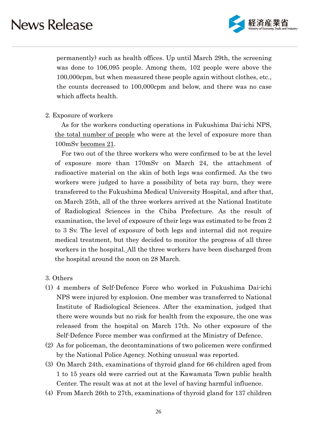

permanently) such as health offices. Up until March 29th, the screening was done to 106,095 people. Among them, 102 people were above the 100,000cpm, but when measured these people again without clothes, etc., the counts decreased to 100,000cpm and below, and there was no case which affects health.

2. Exposure of workers

As for the workers conducting operations in Fukushima Dai-ichi NPS, the total number of people who were at the level of exposure more than 100mSv becomes 21.

For two out of the three workers who were confirmed to be at the level of exposure more than 170mSv on March 24, the attachment of radioactive material on the skin of both legs was confirmed. As the two workers were judged to have a possibility of beta ray burn, they were transferred to the Fukushima Medical University Hospital, and after that, on March 25th, all of the three workers arrived at the National Institute of Radiological Sciences in the Chiba Prefecture. As the result of examination, the level of exposure of their legs was estimated to be from 2 to 3 Sv. The level of exposure of both legs and internal did not require medical treatment, but they decided to monitor the progress of all three workers in the hospital. All the three workers have been discharged from the hospital around the noon on 28 March.

#### 3. Others

- (1) 4 members of Self-Defence Force who worked in Fukushima Dai-ichi NPS were injured by explosion. One member was transferred to National Institute of Radiological Sciences. After the examination, judged that there were wounds but no risk for health from the exposure, the one was released from the hospital on March 17th. No other exposure of the Self-Defence Force member was confirmed at the Ministry of Defence.
- (2) As for policeman, the decontaminations of two policemen were confirmed by the National Police Agency. Nothing unusual was reported.
- (3) On March 24th, examinations of thyroid gland for 66 children aged from 1 to 15 years old were carried out at the Kawamata Town public health Center. The result was at not at the level of having harmful influence.
- (4) From March 26th to 27th, examinations of thyroid gland for 137 children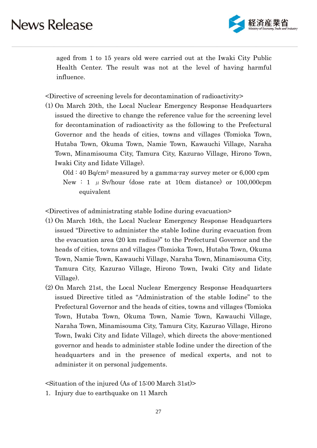

aged from 1 to 15 years old were carried out at the Iwaki City Public Health Center. The result was not at the level of having harmful influence.

<Directive of screening levels for decontamination of radioactivity>

(1) On March 20th, the Local Nuclear Emergency Response Headquarters issued the directive to change the reference value for the screening level for decontamination of radioactivity as the following to the Prefectural Governor and the heads of cities, towns and villages (Tomioka Town, Hutaba Town, Okuma Town, Namie Town, Kawauchi Village, Naraha Town, Minamisouma City, Tamura City, Kazurao Village, Hirono Town, Iwaki City and Iidate Village).

 $Old: 40 Bq/cm<sup>2</sup> measured by a gamma-ray survey meter or 6,000 rpm$ New : 1  $\mu$  Sv/hour (dose rate at 10cm distance) or 100,000cpm equivalent

<Directives of administrating stable Iodine during evacuation>

- (1) On March 16th, the Local Nuclear Emergency Response Headquarters issued "Directive to administer the stable Iodine during evacuation from the evacuation area (20 km radius)" to the Prefectural Governor and the heads of cities, towns and villages (Tomioka Town, Hutaba Town, Okuma Town, Namie Town, Kawauchi Village, Naraha Town, Minamisouma City, Tamura City, Kazurao Village, Hirono Town, Iwaki City and Iidate Village).
- (2) On March 21st, the Local Nuclear Emergency Response Headquarters issued Directive titled as "Administration of the stable Iodine" to the Prefectural Governor and the heads of cities, towns and villages (Tomioka Town, Hutaba Town, Okuma Town, Namie Town, Kawauchi Village, Naraha Town, Minamisouma City, Tamura City, Kazurao Village, Hirono Town, Iwaki City and Iidate Village), which directs the above-mentioned governor and heads to administer stable Iodine under the direction of the headquarters and in the presence of medical experts, and not to administer it on personal judgements.

 $\leq$ Situation of the injured (As of 15:00 March 31st)

1. Injury due to earthquake on 11 March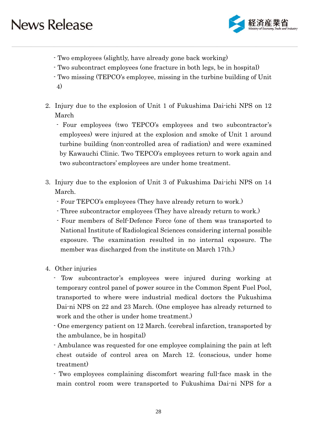

- Two employees (slightly, have already gone back working)
- Two subcontract employees (one fracture in both legs, be in hospital)
- Two missing (TEPCO's employee, missing in the turbine building of Unit 4)
- 2. Injury due to the explosion of Unit 1 of Fukushima Dai-ichi NPS on 12 March
	- Four employees (two TEPCO's employees and two subcontractor's employees) were injured at the explosion and smoke of Unit 1 around turbine building (non-controlled area of radiation) and were examined by Kawauchi Clinic. Two TEPCO's employees return to work again and two subcontractors' employees are under home treatment.
- 3. Injury due to the explosion of Unit 3 of Fukushima Dai-ichi NPS on 14 March.
	- Four TEPCO's employees (They have already return to work.)
	- Three subcontractor employees (They have already return to work.)
	- Four members of Self-Defence Force (one of them was transported to National Institute of Radiological Sciences considering internal possible exposure. The examination resulted in no internal exposure. The member was discharged from the institute on March 17th.)
- 4. Other injuries
	- Tow subcontractor's employees were injured during working at temporary control panel of power source in the Common Spent Fuel Pool, transported to where were industrial medical doctors the Fukushima Dai-ni NPS on 22 and 23 March. (One employee has already returned to work and the other is under home treatment.)
	- One emergency patient on 12 March. (cerebral infarction, transported by the ambulance, be in hospital)
	- Ambulance was requested for one employee complaining the pain at left chest outside of control area on March 12. (conscious, under home treatment)
	- Two employees complaining discomfort wearing full-face mask in the main control room were transported to Fukushima Dai-ni NPS for a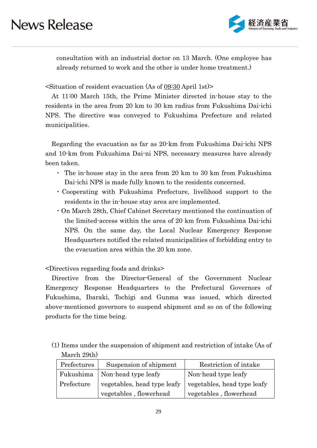

consultation with an industrial doctor on 13 March. (One employee has already returned to work and the other is under home treatment.)

 $\leq$ Situation of resident evacuation (As of 09:30 April 1st)>

At 11:00 March 15th, the Prime Minister directed in-house stay to the residents in the area from 20 km to 30 km radius from Fukushima Dai-ichi NPS. The directive was conveyed to Fukushima Prefecture and related municipalities.

Regarding the evacuation as far as 20-km from Fukushima Dai-ichi NPS and 10-km from Fukushima Dai-ni NPS, necessary measures have already been taken.

- ・ The in-house stay in the area from 20 km to 30 km from Fukushima Dai-ichi NPS is made fully known to the residents concerned.
- ・Cooperating with Fukushima Prefecture, livelihood support to the residents in the in-house stay area are implemented.
- ・On March 28th, Chief Cabinet Secretary mentioned the continuation of the limited-access within the area of 20 km from Fukushima Dai-ichi NPS. On the same day, the Local Nuclear Emergency Response Headquarters notified the related municipalities of forbidding entry to the evacuation area within the 20 km zone.

<Directives regarding foods and drinks>

Directive from the Director-General of the Government Nuclear Emergency Response Headquarters to the Prefectural Governors of Fukushima, Ibaraki, Tochigi and Gunma was issued, which directed above-mentioned governors to suspend shipment and so on of the following products for the time being.

(1) Items under the suspension of shipment and restriction of intake (As of March 29th)

| Prefectures | Suspension of shipment          | Restriction of intake       |
|-------------|---------------------------------|-----------------------------|
|             | Fukushima   Non-head type leafy | Non-head type leafy         |
| Prefecture  | vegetables, head type leafy     | vegetables, head type leafy |
|             | vegetables, flowerhead          | vegetables, flowerhead      |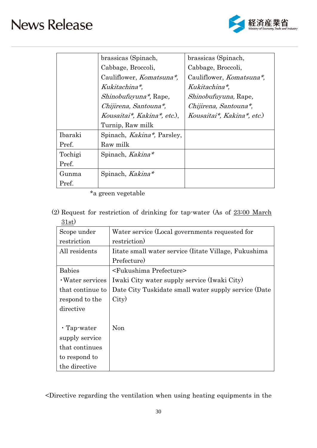

|         | brassicas (Spinach,                | brassicas (Spinach,              |
|---------|------------------------------------|----------------------------------|
|         | Cabbage, Broccoli,                 | Cabbage, Broccoli,               |
|         | Cauliflower, <i>Komatsuna*</i> ,   | Cauliflower, <i>Komatsuna*</i> , |
|         | Kukitachina*,                      | Kukitachina*,                    |
|         | <i>Shinobufuyuna*</i> , Rape,      | <i>Shinobufuyuna</i> , Rape,     |
|         | Chijirena, Santouna*,              | Chijirena, Santouna*,            |
|         | Kousaitai*, Kakina*, etc.),        | Kousaitai*, Kakina*, etc.)       |
|         | Turnip, Raw milk                   |                                  |
| Ibaraki | Spinach, <i>Kakina*</i> , Parsley, |                                  |
| Pref.   | Raw milk                           |                                  |
| Tochigi | Spinach, Kakina*                   |                                  |
| Pref.   |                                    |                                  |
| Gunma   | Spinach, Kakina*                   |                                  |
| Pref.   |                                    |                                  |

\*a green vegetable

(2) Request for restriction of drinking for tap-water (As of 23:00 March 31st)

| ▽ エ ) )           |                                                      |
|-------------------|------------------------------------------------------|
| Scope under       | Water service (Local governments requested for       |
| restriction       | restriction)                                         |
| All residents     | Itate small water service (Itate Village, Fukushima) |
|                   | Prefecture)                                          |
| <b>Babies</b>     | <fukushima prefecture=""></fukushima>                |
| • Water services  | Iwaki City water supply service (Iwaki City)         |
| that continue to  | Date City Tuskidate small water supply service (Date |
| respond to the    | City)                                                |
| directive         |                                                      |
|                   |                                                      |
| $\cdot$ Tap-water | Non                                                  |
| supply service    |                                                      |
| that continues    |                                                      |
| to respond to     |                                                      |
| the directive     |                                                      |

<Directive regarding the ventilation when using heating equipments in the